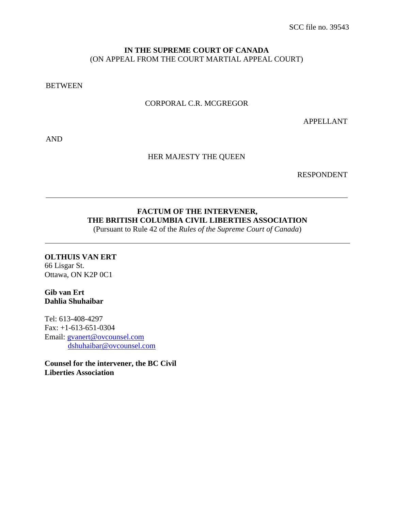### **IN THE SUPREME COURT OF CANADA** (ON APPEAL FROM THE COURT MARTIAL APPEAL COURT)

**BETWEEN** 

### CORPORAL C.R. MCGREGOR

APPELLANT

AND

#### HER MAJESTY THE QUEEN

RESPONDENT

### **FACTUM OF THE INTERVENER, THE BRITISH COLUMBIA CIVIL LIBERTIES ASSOCIATION**

(Pursuant to Rule 42 of the *Rules of the Supreme Court of Canada*)

### **OLTHUIS VAN ERT**

66 Lisgar St. Ottawa, ON K2P 0C1

### **Gib van Ert Dahlia Shuhaibar**

Tel: 613-408-4297 Fax: +1-613-651-0304 Email: [gvanert@ovcounsel.com](mailto:gvanert@ovcounsel.com) [dshuhaibar@ovcounsel.com](mailto:dshuhaibar@ovcounsel.com)

**Counsel for the intervener, the BC Civil Liberties Association**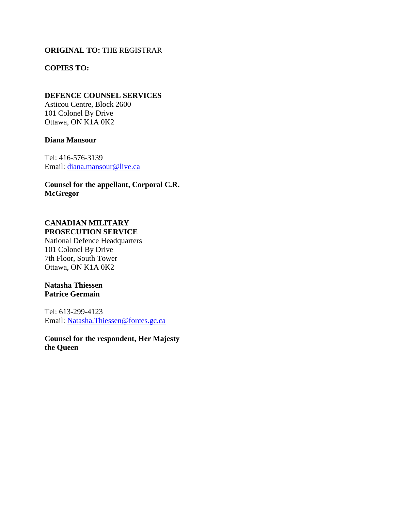### **ORIGINAL TO:** THE REGISTRAR

### **COPIES TO:**

#### **DEFENCE COUNSEL SERVICES**

Asticou Centre, Block 2600 101 Colonel By Drive Ottawa, ON K1A 0K2

#### **Diana Mansour**

Tel: 416-576-3139 Email: [diana.mansour@live.ca](mailto:diana.mansour@live.ca)

**Counsel for the appellant, Corporal C.R. McGregor**

# **CANADIAN MILITARY**

**PROSECUTION SERVICE** National Defence Headquarters 101 Colonel By Drive 7th Floor, South Tower Ottawa, ON K1A 0K2

### **Natasha Thiessen Patrice Germain**

Tel: 613-299-4123 Email: [Natasha.Thiessen@forces.gc.ca](mailto:Natasha.Thiessen@forces.gc.ca)

**Counsel for the respondent, Her Majesty the Queen**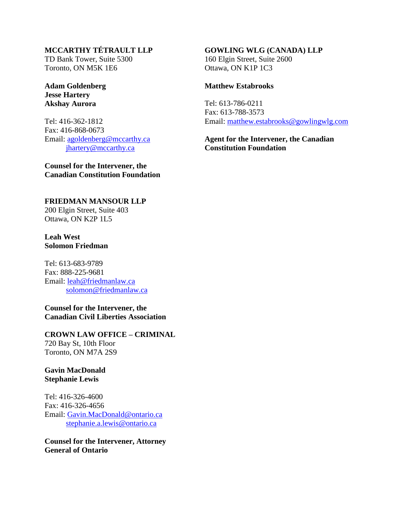### **MCCARTHY TÉTRAULT LLP**

TD Bank Tower, Suite 5300 Toronto, ON M5K 1E6

**Adam Goldenberg Jesse Hartery Akshay Aurora**

Tel: 416-362-1812 Fax: 416-868-0673 Email: [agoldenberg@mccarthy.ca](mailto:agoldenberg@mccarthy.ca) [jhartery@mccarthy.ca](mailto:jhartery@mccarthy.ca)

**Counsel for the Intervener, the Canadian Constitution Foundation**

**FRIEDMAN MANSOUR LLP** 200 Elgin Street, Suite 403 Ottawa, ON K2P 1L5

**Leah West Solomon Friedman**

Tel: 613-683-9789 Fax: 888-225-9681 Email: [leah@friedmanlaw.ca](mailto:leah@friedmanlaw.ca) [solomon@friedmanlaw.ca](mailto:solomon@friedmanlaw.ca)

**Counsel for the Intervener, the Canadian Civil Liberties Association**

**CROWN LAW OFFICE – CRIMINAL**  720 Bay St, 10th Floor Toronto, ON M7A 2S9

**Gavin MacDonald Stephanie Lewis**

Tel: 416-326-4600 Fax: 416-326-4656 Email: [Gavin.MacDonald@ontario.ca](mailto:Gavin.MacDonald@ontario.ca) [stephanie.a.lewis@ontario.ca](mailto:stephanie.a.lewis@ontario.ca)

**Counsel for the Intervener, Attorney General of Ontario**

#### **GOWLING WLG (CANADA) LLP**

160 Elgin Street, Suite 2600 Ottawa, ON K1P 1C3

#### **Matthew Estabrooks**

Tel: 613-786-0211 Fax: 613-788-3573 Email: [matthew.estabrooks@gowlingwlg.com](mailto:matthew.estabrooks@gowlingwlg.com)

**Agent for the Intervener, the Canadian Constitution Foundation**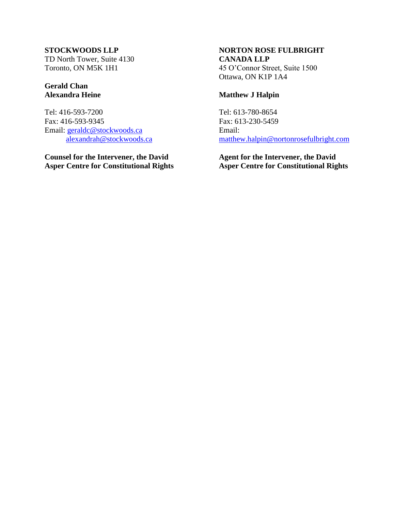### **STOCKWOODS LLP**

TD North Tower, Suite 4130 Toronto, ON M5K 1H1

### **Gerald Chan Alexandra Heine**

Tel: 416-593-7200 Fax: 416-593-9345 Email: [geraldc@stockwoods.ca](mailto:geraldc@stockwoods.ca) [alexandrah@stockwoods.ca](mailto:alexandrah@stockwoods.ca)

**Counsel for the Intervener, the David Asper Centre for Constitutional Rights**

### **NORTON ROSE FULBRIGHT CANADA LLP** 45 O'Connor Street, Suite 1500 Ottawa, ON K1P 1A4

### **Matthew J Halpin**

Tel: 613-780-8654 Fax: 613-230-5459 Email: [matthew.halpin@nortonrosefulbright.com](mailto:matthew.halpin@nortonrosefulbright.com)

**Agent for the Intervener, the David Asper Centre for Constitutional Rights**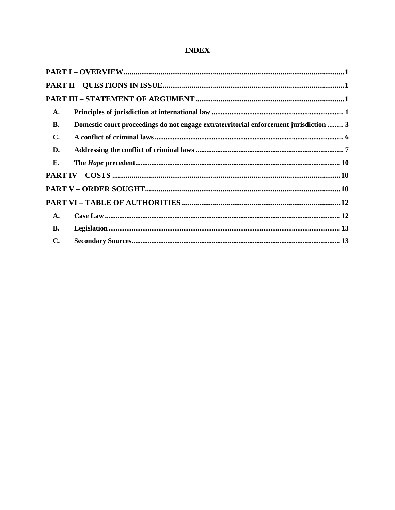### **INDEX**

| A.             |                                                                                       |  |
|----------------|---------------------------------------------------------------------------------------|--|
| <b>B.</b>      | Domestic court proceedings do not engage extraterritorial enforcement jurisdiction  3 |  |
| $\mathbf{C}$ . |                                                                                       |  |
| D.             |                                                                                       |  |
| E.             |                                                                                       |  |
|                |                                                                                       |  |
|                |                                                                                       |  |
|                |                                                                                       |  |
| A.             |                                                                                       |  |
| <b>B.</b>      |                                                                                       |  |
| $\mathbf{C}$ . |                                                                                       |  |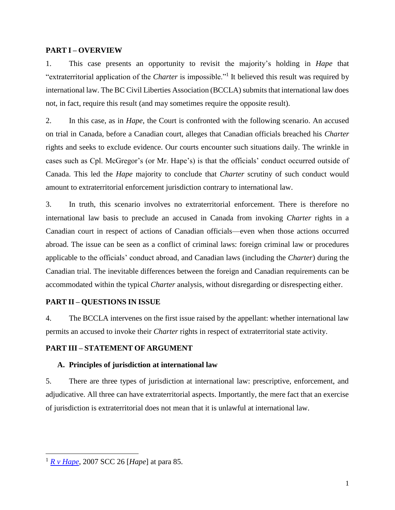#### <span id="page-5-0"></span>**PART I – OVERVIEW**

1. This case presents an opportunity to revisit the majority's holding in *Hape* that "extraterritorial application of the *Charter* is impossible."<sup>1</sup> It believed this result was required by international law. The BC Civil Liberties Association (BCCLA) submits that international law does not, in fact, require this result (and may sometimes require the opposite result).

2. In this case, as in *Hape*, the Court is confronted with the following scenario. An accused on trial in Canada, before a Canadian court, alleges that Canadian officials breached his *Charter*  rights and seeks to exclude evidence. Our courts encounter such situations daily. The wrinkle in cases such as Cpl. McGregor's (or Mr. Hape's) is that the officials' conduct occurred outside of Canada. This led the *Hape* majority to conclude that *Charter* scrutiny of such conduct would amount to extraterritorial enforcement jurisdiction contrary to international law.

3. In truth, this scenario involves no extraterritorial enforcement. There is therefore no international law basis to preclude an accused in Canada from invoking *Charter* rights in a Canadian court in respect of actions of Canadian officials—even when those actions occurred abroad. The issue can be seen as a conflict of criminal laws: foreign criminal law or procedures applicable to the officials' conduct abroad, and Canadian laws (including the *Charter*) during the Canadian trial. The inevitable differences between the foreign and Canadian requirements can be accommodated within the typical *Charter* analysis, without disregarding or disrespecting either.

### <span id="page-5-1"></span>**PART II – QUESTIONS IN ISSUE**

4. The BCCLA intervenes on the first issue raised by the appellant: whether international law permits an accused to invoke their *Charter* rights in respect of extraterritorial state activity.

### <span id="page-5-3"></span><span id="page-5-2"></span>**PART III – STATEMENT OF ARGUMENT**

### **A. Principles of jurisdiction at international law**

5. There are three types of jurisdiction at international law: prescriptive, enforcement, and adjudicative. All three can have extraterritorial aspects. Importantly, the mere fact that an exercise of jurisdiction is extraterritorial does not mean that it is unlawful at international law.

<sup>1</sup> *[R v Hape](https://www.canlii.org/en/ca/scc/doc/2007/2007scc26/2007scc26.html?resultIndex=1)*, 2007 SCC 26 [*Hape*] at para 85.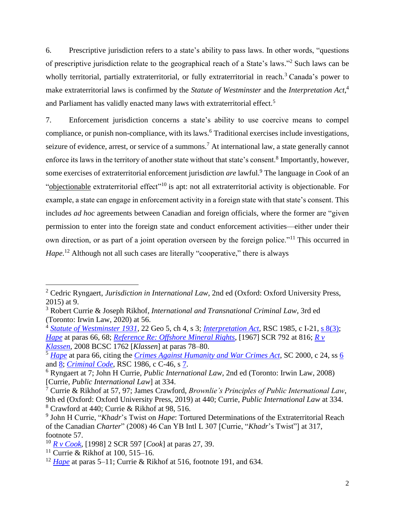6. Prescriptive jurisdiction refers to a state's ability to pass laws. In other words, "questions of prescriptive jurisdiction relate to the geographical reach of a State's laws."<sup>2</sup> Such laws can be wholly territorial, partially extraterritorial, or fully extraterritorial in reach.<sup>3</sup> Canada's power to make extraterritorial laws is confirmed by the *Statute of Westminster* and the *Interpretation Act*, 4 and Parliament has validly enacted many laws with extraterritorial effect.<sup>5</sup>

7. Enforcement jurisdiction concerns a state's ability to use coercive means to compel compliance, or punish non-compliance, with its laws. <sup>6</sup> Traditional exercises include investigations, seizure of evidence, arrest, or service of a summons.<sup>7</sup> At international law, a state generally cannot enforce its laws in the territory of another state without that state's consent.<sup>8</sup> Importantly, however, some exercises of extraterritorial enforcement jurisdiction *are* lawful.<sup>9</sup> The language in *Cook* of an "objectionable extraterritorial effect"<sup>10</sup> is apt: not all extraterritorial activity is objectionable. For example, a state can engage in enforcement activity in a foreign state with that state's consent. This includes *ad hoc* agreements between Canadian and foreign officials, where the former are "given permission to enter into the foreign state and conduct enforcement activities—either under their own direction, or as part of a joint operation overseen by the foreign police."<sup>11</sup> This occurred in Hape.<sup>12</sup> Although not all such cases are literally "cooperative," there is always

<sup>2</sup> Cedric Ryngaert, *Jurisdiction in International Law*, 2nd ed (Oxford: Oxford University Press, 2015) at 9.

<sup>3</sup> Robert Currie & Joseph Rikhof, *International and Transnational Criminal Law*, 3rd ed (Toronto: Irwin Law, 2020) at 56.

<sup>4</sup> *[Statute of Westminster](https://www.legislation.gov.uk/ukpga/1931/4/pdfs/ukpga_19310004_en.pdf) 1931*, 22 Geo 5, ch 4, s 3; *[Interpretation Act](https://laws-lois.justice.gc.ca/eng/acts/i-21/index.html)*, RSC 1985, c I-21, [s 8\(3\);](https://laws-lois.justice.gc.ca/eng/acts/i-21/page-1.html#h-279211) *[Hape](https://www.canlii.org/en/ca/scc/doc/2007/2007scc26/2007scc26.html?resultIndex=1)* at paras 66, 68; *[Reference Re: Offshore Mineral Rights](https://www.canlii.org/en/ca/scc/doc/1967/1967canlii71/1967canlii71.html?autocompleteStr=%5B1967%5D%20SCR%20792%20&autocompletePos=1)*, [1967] SCR 792 at 816; *[R v](https://www.canlii.org/en/bc/bcsc/doc/2008/2008bcsc1762/2008bcsc1762.html?autocompleteStr=2008%20BCSC%201762&autocompletePos=1)  [Klassen](https://www.canlii.org/en/bc/bcsc/doc/2008/2008bcsc1762/2008bcsc1762.html?autocompleteStr=2008%20BCSC%201762&autocompletePos=1)*, 2008 BCSC 1762 [*Klassen*] at paras 78–80.

<sup>5</sup> *[Hape](https://www.canlii.org/en/ca/scc/doc/2007/2007scc26/2007scc26.html?resultIndex=1)* at para 66, citing the *[Crimes Against Humanity and War Crimes Act](https://laws-lois.justice.gc.ca/eng/acts/C-45.9/page-1.html)*, SC 2000, c 24, ss [6](https://laws-lois.justice.gc.ca/eng/acts/C-45.9/page-1.html#h-114689) and [8;](https://laws-lois.justice.gc.ca/eng/acts/C-45.9/page-2.html#docCont) *[Criminal Code](https://www.laws-lois.justice.gc.ca/eng/acts/C-46/index.html)*, RSC 1986, c C-46, s [7.](https://www.laws-lois.justice.gc.ca/eng/acts/C-46/page-2.html#h-115244)

<sup>6</sup> Ryngaert at 7; John H Currie, *Public International Law*, 2nd ed (Toronto: Irwin Law, 2008) [Currie, *Public International Law*] at 334.

<sup>7</sup> Currie & Rikhof at 57, 97; James Crawford, *Brownlie's Principles of Public International Law*, 9th ed (Oxford: Oxford University Press, 2019) at 440; Currie, *Public International Law* at 334. <sup>8</sup> Crawford at 440; Currie & Rikhof at 98, 516.

<sup>9</sup> John H Currie, "*Khadr*'s Twist on *Hape*: Tortured Determinations of the Extraterritorial Reach of the Canadian *Charter*" (2008) 46 Can YB Intl L 307 [Currie, "*Khadr*'s Twist"] at 317, footnote 57.

<sup>10</sup> *[R v Cook](https://www.canlii.org/en/ca/scc/doc/1998/1998canlii802/1998canlii802.html?autocompleteStr=%5B1998%5D%202%20SCR%20597&autocompletePos=1)*, [1998] 2 SCR 597 [*Cook*] at paras 27, 39.

<sup>&</sup>lt;sup>11</sup> Currie & Rikhof at 100, 515–16.

<sup>12</sup> *[Hape](https://www.canlii.org/en/ca/scc/doc/2007/2007scc26/2007scc26.html?resultIndex=1)* at paras 5–11; Currie & Rikhof at 516, footnote 191, and 634.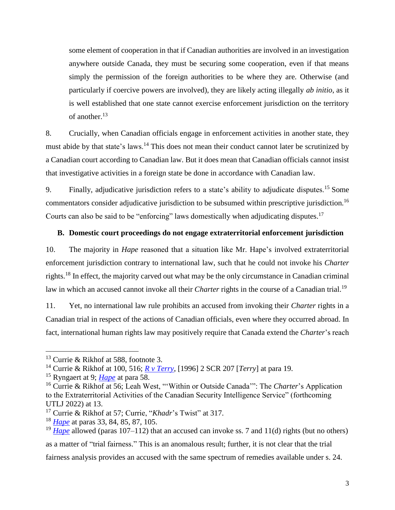some element of cooperation in that if Canadian authorities are involved in an investigation anywhere outside Canada, they must be securing some cooperation, even if that means simply the permission of the foreign authorities to be where they are. Otherwise (and particularly if coercive powers are involved), they are likely acting illegally *ab initio*, as it is well established that one state cannot exercise enforcement jurisdiction on the territory of another. 13

8. Crucially, when Canadian officials engage in enforcement activities in another state, they must abide by that state's laws.<sup>14</sup> This does not mean their conduct cannot later be scrutinized by a Canadian court according to Canadian law. But it does mean that Canadian officials cannot insist that investigative activities in a foreign state be done in accordance with Canadian law.

9. Finally, adjudicative jurisdiction refers to a state's ability to adjudicate disputes.<sup>15</sup> Some commentators consider adjudicative jurisdiction to be subsumed within prescriptive jurisdiction.<sup>16</sup> Courts can also be said to be "enforcing" laws domestically when adjudicating disputes.<sup>17</sup>

#### <span id="page-7-0"></span>**B. Domestic court proceedings do not engage extraterritorial enforcement jurisdiction**

10. The majority in *Hape* reasoned that a situation like Mr. Hape's involved extraterritorial enforcement jurisdiction contrary to international law, such that he could not invoke his *Charter*  rights.<sup>18</sup> In effect, the majority carved out what may be the only circumstance in Canadian criminal law in which an accused cannot invoke all their *Charter* rights in the course of a Canadian trial.<sup>19</sup>

11. Yet, no international law rule prohibits an accused from invoking their *Charter* rights in a Canadian trial in respect of the actions of Canadian officials, even where they occurred abroad. In fact, international human rights law may positively require that Canada extend the *Charter*'s reach

<sup>&</sup>lt;sup>13</sup> Currie & Rikhof at 588, footnote 3.

<sup>14</sup> Currie & Rikhof at 100, 516; *[R v Terry](https://www.canlii.org/en/ca/scc/doc/1996/1996canlii199/1996canlii199.html?autocompleteStr=%5B1996%5D%202%20SCR%20207&autocompletePos=1)*, [1996] 2 SCR 207 [*Terry*] at para 19.

<sup>15</sup> Ryngaert at 9; *[Hape](https://www.canlii.org/en/ca/scc/doc/2007/2007scc26/2007scc26.html?resultIndex=1)* at para 58.

<sup>16</sup> Currie & Rikhof at 56; Leah West, "'Within or Outside Canada'": The *Charter*'s Application to the Extraterritorial Activities of the Canadian Security Intelligence Service" (forthcoming UTLJ 2022) at 13.

<sup>17</sup> Currie & Rikhof at 57; Currie, "*Khadr*'s Twist" at 317.

<sup>18</sup> *[Hape](https://www.canlii.org/en/ca/scc/doc/2007/2007scc26/2007scc26.html?resultIndex=1)* at paras 33, 84, 85, 87, 105.

<sup>19</sup> *[Hape](https://www.canlii.org/en/ca/scc/doc/2007/2007scc26/2007scc26.html?resultIndex=1)* allowed (paras 107–112) that an accused can invoke ss. 7 and 11(d) rights (but no others)

as a matter of "trial fairness." This is an anomalous result; further, it is not clear that the trial fairness analysis provides an accused with the same spectrum of remedies available under s. 24.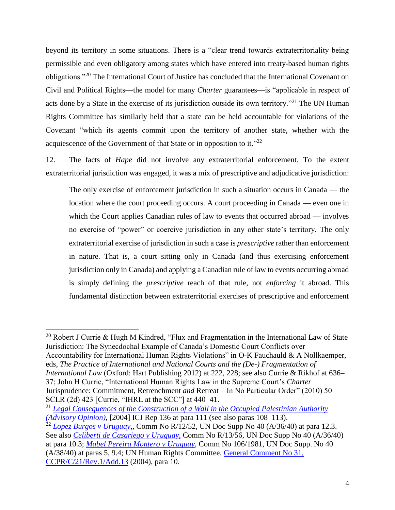beyond its territory in some situations. There is a "clear trend towards extraterritoriality being permissible and even obligatory among states which have entered into treaty-based human rights obligations."<sup>20</sup> The International Court of Justice has concluded that the International Covenant on Civil and Political Rights—the model for many *Charter* guarantees—is "applicable in respect of acts done by a State in the exercise of its jurisdiction outside its own territory."<sup>21</sup> The UN Human Rights Committee has similarly held that a state can be held accountable for violations of the Covenant "which its agents commit upon the territory of another state, whether with the acquiescence of the Government of that State or in opposition to it."<sup>22</sup>

12. The facts of *Hape* did not involve any extraterritorial enforcement. To the extent extraterritorial jurisdiction was engaged, it was a mix of prescriptive and adjudicative jurisdiction:

The only exercise of enforcement jurisdiction in such a situation occurs in Canada — the location where the court proceeding occurs. A court proceeding in Canada — even one in which the Court applies Canadian rules of law to events that occurred abroad — involves no exercise of "power" or coercive jurisdiction in any other state's territory. The only extraterritorial exercise of jurisdiction in such a case is *prescriptive* rather than enforcement in nature. That is, a court sitting only in Canada (and thus exercising enforcement jurisdiction only in Canada) and applying a Canadian rule of law to events occurring abroad is simply defining the *prescriptive* reach of that rule, not *enforcing* it abroad. This fundamental distinction between extraterritorial exercises of prescriptive and enforcement

 $\overline{a}$ 

Accountability for International Human Rights Violations" in O-K Fauchauld & A Nollkaemper, eds, *The Practice of International and National Courts and the (De-) Fragmentation of International Law* (Oxford: Hart Publishing 2012) at 222, 228; see also Currie & Rikhof at 636– 37; John H Currie, "International Human Rights Law in the Supreme Court's *Charter*  Jurisprudence: Commitment, Retrenchment *and* Retreat—In No Particular Order" (2010) 50 SCLR (2d) 423 [Currie, "IHRL at the SCC"] at 440–41.

<sup>&</sup>lt;sup>20</sup> Robert J Currie & Hugh M Kindred, "Flux and Fragmentation in the International Law of State Jurisdiction: The Synecdochal Example of Canada's Domestic Court Conflicts over

<sup>21</sup> *Legal Consequences of the Construction [of a Wall in the Occupied Palestinian Authority](https://www.icj-cij.org/public/files/case-related/131/131-20040709-ADV-01-00-EN.pdf)  [\(Advisory Opinion\)](https://www.icj-cij.org/public/files/case-related/131/131-20040709-ADV-01-00-EN.pdf)*, [2004] ICJ Rep 136 at para 111 (see also paras 108–113).

<sup>&</sup>lt;sup>22</sup> *Lopez, Burgos v Uruguay*,, Comm No R/12/52, UN Doc Supp No 40 (A/36/40) at para 12.3. See also *[Celiberti de Casariego v Uruguay,](https://docstore.ohchr.org/SelfServices/FilesHandler.ashx?enc=6QkG1d%2fPPRiCAqhKb7yhstcNDCvDan1pXU7dsZDBaDVjSFrEd5Bx8CSPLNXQzOe7sXssF3Q2zVXflHY2VLQQ8iMZV61DH%2fI%2fiLICn8CAq6yszz8FmdMUzGbozO%2b48F0T5f0%2bcnxu98%2fXUGUBXuzDVwYjzttfmCkw68UddMd9AY8%3d)* Comm No R/13/56, UN Doc Supp No 40 (A/36/40) at para 10.3; *[Mabel Pereira Montero v Uruguay](https://docstore.ohchr.org/SelfServices/FilesHandler.ashx?enc=6QkG1d%2fPPRiCAqhKb7yhstcNDCvDan1pXU7dsZDBaDXa4n1INCy0DeSMWx97KGSIK5oYrK7eB5B%2fZ5RQ8qh7kJ7W%2f9wHBGMWH3myE9RoA3v9wcqeRtozU7hTaWGIYw88Rk9SedGaBfzC8uGFouwOV%2fcm%2fkNqprnhWdBfS1lEhlE%3d)*, Comm No 106/1981, UN Doc Supp. No 40 (A/38/40) at paras 5, 9.4; UN Human Rights Committee, [General Comment No 31,](https://www.refworld.org/docid/478b26ae2.html)  [CCPR/C/21/Rev.1/Add.13](https://www.refworld.org/docid/478b26ae2.html) (2004), para 10.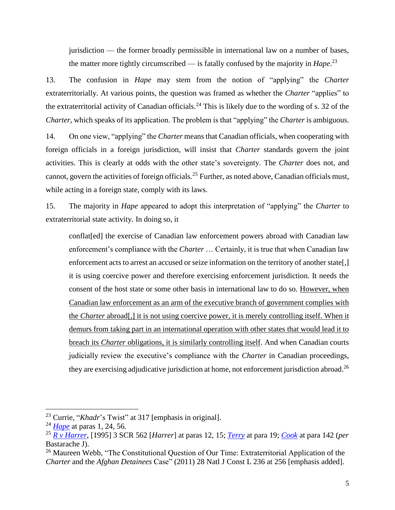jurisdiction — the former broadly permissible in international law on a number of bases, the matter more tightly circumscribed — is fatally confused by the majority in *Hape*. 23

13. The confusion in *Hape* may stem from the notion of "applying" the *Charter*  extraterritorially. At various points, the question was framed as whether the *Charter* "applies" to the extraterritorial activity of Canadian officials.<sup>24</sup> This is likely due to the wording of s. 32 of the *Charter*, which speaks of its application. The problem is that "applying" the *Charter* is ambiguous.

14. On one view, "applying" the *Charter* means that Canadian officials, when cooperating with foreign officials in a foreign jurisdiction, will insist that *Charter* standards govern the joint activities. This is clearly at odds with the other state's sovereignty. The *Charter* does not, and cannot, govern the activities of foreign officials.<sup>25</sup> Further, as noted above, Canadian officials must, while acting in a foreign state, comply with its laws.

15. The majority in *Hape* appeared to adopt this interpretation of "applying" the *Charter* to extraterritorial state activity. In doing so, it

conflat[ed] the exercise of Canadian law enforcement powers abroad with Canadian law enforcement's compliance with the *Charter* … Certainly, it is true that when Canadian law enforcement acts to arrest an accused or seize information on the territory of another state[,] it is using coercive power and therefore exercising enforcement jurisdiction. It needs the consent of the host state or some other basis in international law to do so. However, when Canadian law enforcement as an arm of the executive branch of government complies with the *Charter* abroad[,] it is not using coercive power, it is merely controlling itself. When it demurs from taking part in an international operation with other states that would lead it to breach its *Charter* obligations, it is similarly controlling itself. And when Canadian courts judicially review the executive's compliance with the *Charter* in Canadian proceedings, they are exercising adjudicative jurisdiction at home, not enforcement jurisdiction abroad.<sup>26</sup>

<sup>23</sup> Currie, "*Khadr*'s Twist" at 317 [emphasis in original].

<sup>24</sup> *[Hape](https://www.canlii.org/en/ca/scc/doc/2007/2007scc26/2007scc26.html?resultIndex=1)* at paras 1, 24, 56.

<sup>25</sup> *[R v Harrer](https://www.canlii.org/en/ca/scc/doc/1995/1995canlii70/1995canlii70.html?autocompleteStr=%5B1995%5D%203%20SCR%20562.%20&autocompletePos=1)*, [1995] 3 SCR 562 [*Harrer*] at paras 12, 15; *[Terry](https://www.canlii.org/en/ca/scc/doc/1996/1996canlii199/1996canlii199.html?autocompleteStr=%5B1996%5D%202%20SCR%20207&autocompletePos=1)* at para 19; *[Cook](https://www.canlii.org/en/ca/scc/doc/1998/1998canlii802/1998canlii802.html?autocompleteStr=%5B1998%5D%202%20SCR%20597&autocompletePos=1)* at para 142 (*per*  Bastarache J).

<sup>&</sup>lt;sup>26</sup> Maureen Webb, "The Constitutional Question of Our Time: Extraterritorial Application of the *Charter* and the *Afghan Detainees* Case" (2011) 28 Natl J Const L 236 at 256 [emphasis added].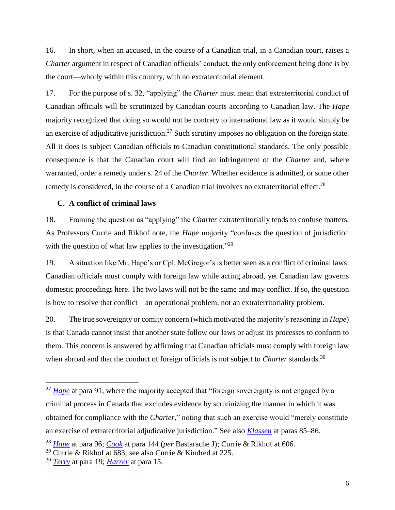16. In short, when an accused, in the course of a Canadian trial, in a Canadian court, raises a *Charter* argument in respect of Canadian officials' conduct, the only enforcement being done is by the court—wholly within this country, with no extraterritorial element.

17. For the purpose of s. 32, "applying" the *Charter* must mean that extraterritorial conduct of Canadian officials will be scrutinized by Canadian courts according to Canadian law. The *Hape*  majority recognized that doing so would not be contrary to international law as it would simply be an exercise of adjudicative jurisdiction.<sup>27</sup> Such scrutiny imposes no obligation on the foreign state. All it does is subject Canadian officials to Canadian constitutional standards. The only possible consequence is that the Canadian court will find an infringement of the *Charter* and, where warranted, order a remedy under s. 24 of the *Charter*. Whether evidence is admitted, or some other remedy is considered, in the course of a Canadian trial involves no extraterritorial effect.<sup>28</sup>

### <span id="page-10-0"></span>**C. A conflict of criminal laws**

18. Framing the question as "applying" the *Charter* extraterritorially tends to confuse matters. As Professors Currie and Rikhof note, the *Hape* majority "confuses the question of jurisdiction with the question of what law applies to the investigation."<sup>29</sup>

19. A situation like Mr. Hape's or Cpl. McGregor's is better seen as a conflict of criminal laws: Canadian officials must comply with foreign law while acting abroad, yet Canadian law governs domestic proceedings here. The two laws will not be the same and may conflict. If so, the question is how to resolve that conflict—an operational problem, not an extraterritoriality problem.

20. The true sovereignty or comity concern (which motivated the majority's reasoning in *Hape*) is that Canada cannot insist that another state follow our laws or adjust its processes to conform to them. This concern is answered by affirming that Canadian officials must comply with foreign law when abroad and that the conduct of foreign officials is not subject to *Charter* standards.<sup>30</sup>

<sup>&</sup>lt;sup>27</sup> *[Hape](https://www.canlii.org/en/ca/scc/doc/2007/2007scc26/2007scc26.html?resultIndex=1)* at para 91, where the majority accepted that "foreign sovereignty is not engaged by a criminal process in Canada that excludes evidence by scrutinizing the manner in which it was obtained for compliance with the *Charter*," noting that such an exercise would "merely constitute an exercise of extraterritorial adjudicative jurisdiction." See also *[Klassen](https://www.canlii.org/en/bc/bcsc/doc/2008/2008bcsc1762/2008bcsc1762.html?autocompleteStr=2008%20BCSC%201762&autocompletePos=1)* at paras 85–86.

<sup>28</sup> *[Hape](https://www.canlii.org/en/ca/scc/doc/2007/2007scc26/2007scc26.html?resultIndex=1)* at para 96; *[Cook](https://www.canlii.org/en/ca/scc/doc/1998/1998canlii802/1998canlii802.html?autocompleteStr=%5B1998%5D%202%20SCR%20597&autocompletePos=1)* at para 144 (*per* Bastarache J); Currie & Rikhof at 606.

<sup>29</sup> Currie & Rikhof at 683; see also Currie & Kindred at 225.

<sup>30</sup> *[Terry](https://www.canlii.org/en/ca/scc/doc/1996/1996canlii199/1996canlii199.html?autocompleteStr=%5B1996%5D%202%20SCR%20207&autocompletePos=1)* at para 19; *[Harrer](https://www.canlii.org/en/ca/scc/doc/1995/1995canlii70/1995canlii70.html?autocompleteStr=%5B1995%5D%203%20SCR%20562.%20&autocompletePos=1)* at para 15.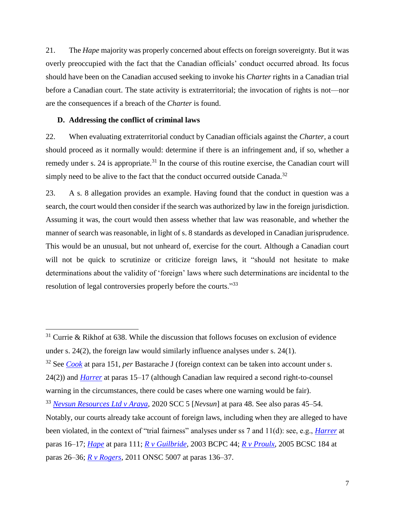21. The *Hape* majority was properly concerned about effects on foreign sovereignty. But it was overly preoccupied with the fact that the Canadian officials' conduct occurred abroad. Its focus should have been on the Canadian accused seeking to invoke his *Charter* rights in a Canadian trial before a Canadian court. The state activity is extraterritorial; the invocation of rights is not—nor are the consequences if a breach of the *Charter* is found.

### <span id="page-11-0"></span>**D. Addressing the conflict of criminal laws**

 $\overline{a}$ 

22. When evaluating extraterritorial conduct by Canadian officials against the *Charter*, a court should proceed as it normally would: determine if there is an infringement and, if so, whether a remedy under s. 24 is appropriate.<sup>31</sup> In the course of this routine exercise, the Canadian court will simply need to be alive to the fact that the conduct occurred outside Canada.<sup>32</sup>

23. A s. 8 allegation provides an example. Having found that the conduct in question was a search, the court would then consider if the search was authorized by law in the foreign jurisdiction. Assuming it was, the court would then assess whether that law was reasonable, and whether the manner of search was reasonable, in light of s. 8 standards as developed in Canadian jurisprudence. This would be an unusual, but not unheard of, exercise for the court. Although a Canadian court will not be quick to scrutinize or criticize foreign laws, it "should not hesitate to make determinations about the validity of 'foreign' laws where such determinations are incidental to the resolution of legal controversies properly before the courts."<sup>33</sup>

 $31$  Currie & Rikhof at 638. While the discussion that follows focuses on exclusion of evidence under s. 24(2), the foreign law would similarly influence analyses under s. 24(1).

<sup>32</sup> See *[Cook](https://www.canlii.org/en/ca/scc/doc/1998/1998canlii802/1998canlii802.html?autocompleteStr=%5B1998%5D%202%20SCR%20597&autocompletePos=1)* at para 151, *per* Bastarache J (foreign context can be taken into account under s.

<sup>24(2))</sup> and *[Harrer](https://www.canlii.org/en/ca/scc/doc/1995/1995canlii70/1995canlii70.html?autocompleteStr=%5B1995%5D%203%20SCR%20562.%20&autocompletePos=1)* at paras 15–17 (although Canadian law required a second right-to-counsel warning in the circumstances, there could be cases where one warning would be fair).

<sup>33</sup> *Nevsun [Resources Ltd v Araya](https://www.canlii.org/en/ca/scc/doc/2020/2020scc5/2020scc5.html?autocompleteStr=2020%20SCC%205&autocompletePos=1)*, 2020 SCC 5 [*Nevsun*] at para 48. See also paras 45–54.

Notably, our courts already take account of foreign laws, including when they are alleged to have been violated, in the context of "trial fairness" analyses under ss 7 and 11(d): see, e.g., *[Harrer](https://www.canlii.org/en/ca/scc/doc/1995/1995canlii70/1995canlii70.html?autocompleteStr=%5B1995%5D%203%20SCR%20562.%20&autocompletePos=1)* at paras 16–17; *[Hape](https://www.canlii.org/en/ca/scc/doc/2007/2007scc26/2007scc26.html?resultIndex=1)* at para 111; *[R v Guilbride](https://www.canlii.org/en/bc/bcpc/doc/2003/2003bcpc44/2003bcpc44.html?autocompleteStr=2003%20BCPC%2044&autocompletePos=1)*, 2003 BCPC 44; *[R v Proulx](https://www.canlii.org/en/bc/bcsc/doc/2005/2005bcsc184/2005bcsc184.html?autocompleteStr=2005%20BCSC%20184%20&autocompletePos=1)*, 2005 BCSC 184 at paras 26–36; *[R v Rogers](https://www.canlii.org/en/on/onsc/doc/2011/2011onsc5007/2011onsc5007.html?autocompleteStr=2011%20ONSC%205007&autocompletePos=1)*, 2011 ONSC 5007 at paras 136–37.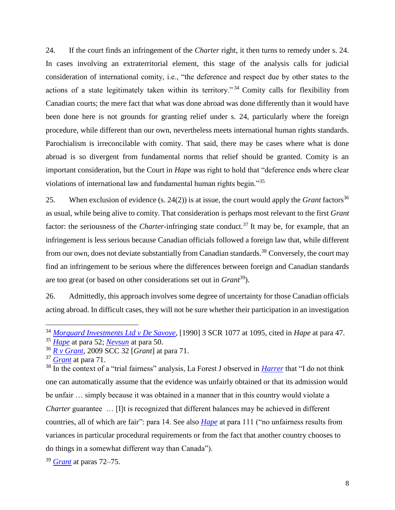24. If the court finds an infringement of the *Charter* right, it then turns to remedy under s. 24. In cases involving an extraterritorial element, this stage of the analysis calls for judicial consideration of international comity, i.e., "the deference and respect due by other states to the actions of a state legitimately taken within its territory." <sup>34</sup> Comity calls for flexibility from Canadian courts; the mere fact that what was done abroad was done differently than it would have been done here is not grounds for granting relief under s. 24, particularly where the foreign procedure, while different than our own, nevertheless meets international human rights standards. Parochialism is irreconcilable with comity. That said, there may be cases where what is done abroad is so divergent from fundamental norms that relief should be granted. Comity is an important consideration, but the Court in *Hape* was right to hold that "deference ends where clear violations of international law and fundamental human rights begin."<sup>35</sup>

25. When exclusion of evidence  $(s, 24(2))$  is at issue, the court would apply the *Grant* factors<sup>36</sup> as usual, while being alive to comity. That consideration is perhaps most relevant to the first *Grant* factor: the seriousness of the *Charter*-infringing state conduct.<sup>37</sup> It may be, for example, that an infringement is less serious because Canadian officials followed a foreign law that, while different from our own, does not deviate substantially from Canadian standards.<sup>38</sup> Conversely, the court may find an infringement to be serious where the differences between foreign and Canadian standards are too great (or based on other considerations set out in *Grant*<sup>39</sup>).

26. Admittedly, this approach involves some degree of uncertainty for those Canadian officials acting abroad. In difficult cases, they will not be sure whether their participation in an investigation

<sup>34</sup> *[Morguard Investments Ltd v De Savoye](https://www.canlii.org/en/ca/scc/doc/1990/1990canlii29/1990canlii29.html?autocompleteStr=%5B1990%5D%203%20SCR%201077%20&autocompletePos=1)*, [1990] 3 SCR 1077 at 1095, cited in *Hape* at para 47.

<sup>35</sup> *[Hape](https://www.canlii.org/en/ca/scc/doc/2007/2007scc26/2007scc26.html?resultIndex=1)* at para 52; *[Nevsun](https://www.canlii.org/en/ca/scc/doc/2020/2020scc5/2020scc5.html?autocompleteStr=2020%20SCC%205&autocompletePos=1)* at para 50.

<sup>36</sup> *[R v Grant](https://www.canlii.org/en/ca/scc/doc/2009/2009scc32/2009scc32.html?autocompleteStr=2009%20SCC%2032&autocompletePos=1)*, 2009 SCC 32 [*Grant*] at para 71.

<sup>37</sup> *[Grant](https://www.canlii.org/en/ca/scc/doc/2009/2009scc32/2009scc32.html?autocompleteStr=2009%20SCC%2032&autocompletePos=1)* at para 71.

<sup>&</sup>lt;sup>38</sup> In the context of a "trial fairness" analysis, La Forest J observed in *[Harrer](https://www.canlii.org/en/ca/scc/doc/1995/1995canlii70/1995canlii70.html?autocompleteStr=%5B1995%5D%203%20SCR%20562.%20&autocompletePos=1)* that "I do not think one can automatically assume that the evidence was unfairly obtained or that its admission would be unfair … simply because it was obtained in a manner that in this country would violate a *Charter guarantee* ... [I]t is recognized that different balances may be achieved in different countries, all of which are fair": para 14. See also *[Hape](https://www.canlii.org/en/ca/scc/doc/2007/2007scc26/2007scc26.html?resultIndex=1)* at para 111 ("no unfairness results from variances in particular procedural requirements or from the fact that another country chooses to do things in a somewhat different way than Canada").

<sup>39</sup> *[Grant](https://www.canlii.org/en/ca/scc/doc/2009/2009scc32/2009scc32.html?autocompleteStr=2009%20SCC%2032&autocompletePos=1)* at paras 72–75.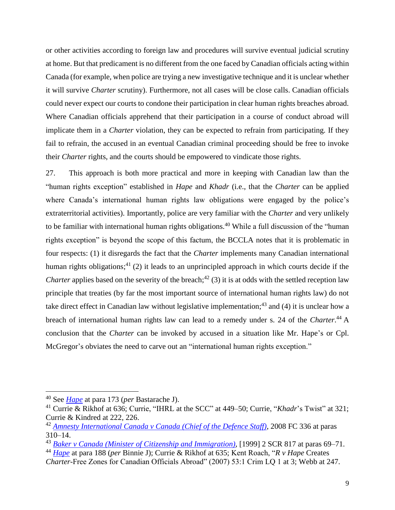or other activities according to foreign law and procedures will survive eventual judicial scrutiny at home. But that predicament is no different from the one faced by Canadian officials acting within Canada (for example, when police are trying a new investigative technique and it is unclear whether it will survive *Charter* scrutiny). Furthermore, not all cases will be close calls. Canadian officials could never expect our courts to condone their participation in clear human rights breaches abroad. Where Canadian officials apprehend that their participation in a course of conduct abroad will implicate them in a *Charter* violation, they can be expected to refrain from participating. If they fail to refrain, the accused in an eventual Canadian criminal proceeding should be free to invoke their *Charter* rights, and the courts should be empowered to vindicate those rights.

27. This approach is both more practical and more in keeping with Canadian law than the "human rights exception" established in *Hape* and *Khadr* (i.e., that the *Charter* can be applied where Canada's international human rights law obligations were engaged by the police's extraterritorial activities). Importantly, police are very familiar with the *Charter* and very unlikely to be familiar with international human rights obligations.<sup>40</sup> While a full discussion of the "human" rights exception" is beyond the scope of this factum, the BCCLA notes that it is problematic in four respects: (1) it disregards the fact that the *Charter* implements many Canadian international human rights obligations;<sup>41</sup> (2) it leads to an unprincipled approach in which courts decide if the *Charter* applies based on the severity of the breach;<sup>42</sup> (3) it is at odds with the settled reception law principle that treaties (by far the most important source of international human rights law) do not take direct effect in Canadian law without legislative implementation;<sup>43</sup> and (4) it is unclear how a breach of international human rights law can lead to a remedy under s. 24 of the *Charter*. <sup>44</sup> A conclusion that the *Charter* can be invoked by accused in a situation like Mr. Hape's or Cpl. McGregor's obviates the need to carve out an "international human rights exception."

<sup>40</sup> See *[Hape](https://www.canlii.org/en/ca/scc/doc/2007/2007scc26/2007scc26.html?resultIndex=1)* at para 173 (*per* Bastarache J).

<sup>41</sup> Currie & Rikhof at 636; Currie, "IHRL at the SCC" at 449–50; Currie, "*Khadr*'s Twist" at 321; Currie & Kindred at 222, 226.

<sup>42</sup> *[Amnesty International Canada v Canada \(Chief of the Defence Staff\)](https://www.canlii.org/en/ca/fct/doc/2008/2008fc336/2008fc336.html?autocompleteStr=amnesty%20international&autocompletePos=2)*, 2008 FC 336 at paras 310–14.

<sup>43</sup> *[Baker v Canada \(Minister of Citizenship and Immigration\)](https://www.canlii.org/en/ca/scc/doc/1999/1999canlii699/1999canlii699.html?autocompleteStr=%5B1999%5D%202%20SCR%20817.&autocompletePos=1)*, [1999] 2 SCR 817 at paras 69–71.

<sup>44</sup> *[Hape](https://www.canlii.org/en/ca/scc/doc/2007/2007scc26/2007scc26.html?resultIndex=1)* at para 188 (*per* Binnie J); Currie & Rikhof at 635; Kent Roach, "*R v Hape* Creates *Charter*-Free Zones for Canadian Officials Abroad" (2007) 53:1 Crim LQ 1 at 3; Webb at 247.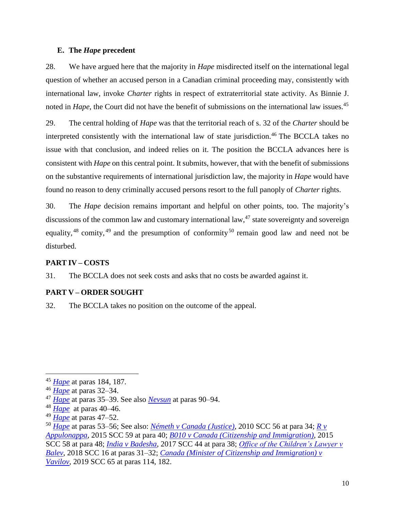#### <span id="page-14-0"></span>**E. The** *Hape* **precedent**

28. We have argued here that the majority in *Hape* misdirected itself on the international legal question of whether an accused person in a Canadian criminal proceeding may, consistently with international law, invoke *Charter* rights in respect of extraterritorial state activity. As Binnie J. noted in *Hape*, the Court did not have the benefit of submissions on the international law issues.<sup>45</sup>

29. The central holding of *Hape* was that the territorial reach of s. 32 of the *Charter* should be interpreted consistently with the international law of state jurisdiction.<sup>46</sup> The BCCLA takes no issue with that conclusion, and indeed relies on it. The position the BCCLA advances here is consistent with *Hape* on this central point. It submits, however, that with the benefit of submissions on the substantive requirements of international jurisdiction law, the majority in *Hape* would have found no reason to deny criminally accused persons resort to the full panoply of *Charter* rights.

30. The *Hape* decision remains important and helpful on other points, too. The majority's discussions of the common law and customary international law,  $47$  state sovereignty and sovereign equality,  $48$  comity,  $49$  and the presumption of conformity  $50$  remain good law and need not be disturbed.

### <span id="page-14-1"></span>**PART IV – COSTS**

31. The BCCLA does not seek costs and asks that no costs be awarded against it.

### <span id="page-14-2"></span>**PART V – ORDER SOUGHT**

32. The BCCLA takes no position on the outcome of the appeal.

<sup>45</sup> *[Hape](https://www.canlii.org/en/ca/scc/doc/2007/2007scc26/2007scc26.html?resultIndex=1)* at paras 184, 187.

<sup>46</sup> *[Hape](https://www.canlii.org/en/ca/scc/doc/2007/2007scc26/2007scc26.html?resultIndex=1)* at paras 32–34.

<sup>47</sup> *[Hape](https://www.canlii.org/en/ca/scc/doc/2007/2007scc26/2007scc26.html?resultIndex=1)* at paras 35–39. See also *[Nevsun](https://www.canlii.org/en/ca/scc/doc/2020/2020scc5/2020scc5.html?autocompleteStr=2020%20SCC%205&autocompletePos=1)* at paras 90–94.

<sup>48</sup> *[Hape](https://www.canlii.org/en/ca/scc/doc/2007/2007scc26/2007scc26.html?resultIndex=1)* at paras 40–46.

<sup>49</sup> *[Hape](https://www.canlii.org/en/ca/scc/doc/2007/2007scc26/2007scc26.html?resultIndex=1)* at paras 47–52.

<sup>50</sup> *[Hape](https://www.canlii.org/en/ca/scc/doc/2007/2007scc26/2007scc26.html?resultIndex=1)* at paras 53–56; See also: *[Németh v Canada \(Justice\)](https://www.canlii.org/en/ca/scc/doc/2010/2010scc56/2010scc56.html?autocompleteStr=2010%20SCC%2056&autocompletePos=1)*, 2010 SCC 56 at para 34; *[R v](https://www.canlii.org/en/ca/scc/doc/2015/2015scc59/2015scc59.html?autocompleteStr=2015%20SCC%2059%20&autocompletePos=1)  [Appulonappa](https://www.canlii.org/en/ca/scc/doc/2015/2015scc59/2015scc59.html?autocompleteStr=2015%20SCC%2059%20&autocompletePos=1)*, 2015 SCC 59 at para 40; *[B010 v Canada \(Citizenship and Immigration\)](https://www.canlii.org/en/ca/scc/doc/2015/2015scc58/2015scc58.html?autocompleteStr=2015%20SCC%2058&autocompletePos=1)*, 2015 SCC 58 at para 48; *[India v Badesha](https://www.canlii.org/en/ca/scc/doc/2017/2017scc44/2017scc44.html?autocompleteStr=2017%20SCC%2044%20&autocompletePos=1)*, 2017 SCC 44 at para 38; *[Office of the Children's Lawyer v](https://www.canlii.org/en/ca/scc/doc/2018/2018scc16/2018scc16.html?autocompleteStr=balev%20&autocompletePos=1)  [Balev](https://www.canlii.org/en/ca/scc/doc/2018/2018scc16/2018scc16.html?autocompleteStr=balev%20&autocompletePos=1)*, 2018 SCC 16 at paras 31–32; *Canada [\(Minister of Citizenship and Immigration\) v](https://www.canlii.org/en/ca/scc/doc/2019/2019scc65/2019scc65.html?autocompleteStr=2019%20SCC%2065%20&autocompletePos=1)  [Vavilov](https://www.canlii.org/en/ca/scc/doc/2019/2019scc65/2019scc65.html?autocompleteStr=2019%20SCC%2065%20&autocompletePos=1)*, 2019 SCC 65 at paras 114, 182.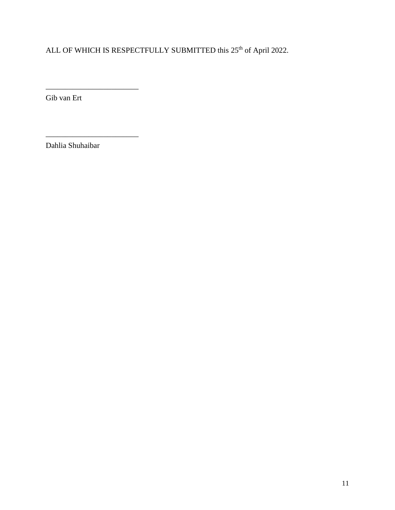ALL OF WHICH IS RESPECTFULLY SUBMITTED this 25<sup>th</sup> of April 2022.

Gib van Ert

\_\_\_\_\_\_\_\_\_\_\_\_\_\_\_\_\_\_\_\_\_\_\_\_

\_\_\_\_\_\_\_\_\_\_\_\_\_\_\_\_\_\_\_\_\_\_\_\_

Dahlia Shuhaibar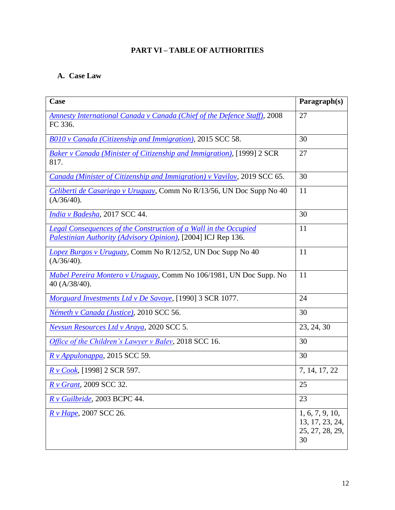# **PART VI – TABLE OF AUTHORITIES**

# <span id="page-16-1"></span><span id="page-16-0"></span>**A. Case Law**

| Case                                                                                                                                     | Paragraph(s)                                                |
|------------------------------------------------------------------------------------------------------------------------------------------|-------------------------------------------------------------|
| <b>Amnesty International Canada v Canada (Chief of the Defence Staff), 2008</b><br>FC 336.                                               | 27                                                          |
| B010 v Canada (Citizenship and Immigration), 2015 SCC 58.                                                                                | 30                                                          |
| Baker v Canada (Minister of Citizenship and Immigration), [1999] 2 SCR<br>817.                                                           | 27                                                          |
| Canada (Minister of Citizenship and Immigration) v Vavilov, 2019 SCC 65.                                                                 | 30                                                          |
| Celiberti de Casariego y Uruguay, Comm No R/13/56, UN Doc Supp No 40<br>(A/36/40).                                                       | 11                                                          |
| India v Badesha, 2017 SCC 44.                                                                                                            | 30                                                          |
| <b>Legal Consequences of the Construction of a Wall in the Occupied</b><br>Palestinian Authority (Advisory Opinion), [2004] ICJ Rep 136. | 11                                                          |
| Lopez Burgos v Uruguay, Comm No R/12/52, UN Doc Supp No 40<br>(A/36/40).                                                                 | 11                                                          |
| Mabel Pereira Montero v Uruguay, Comm No 106/1981, UN Doc Supp. No<br>40 (A/38/40).                                                      | 11                                                          |
| Morguard Investments Ltd v De Savoye, [1990] 3 SCR 1077.                                                                                 | 24                                                          |
| Németh v Canada (Justice), 2010 SCC 56.                                                                                                  | 30                                                          |
| <b>Nevsun Resources Ltd v Araya, 2020 SCC 5.</b>                                                                                         | 23, 24, 30                                                  |
| <i>Office of the Children's Lawyer v Baley, 2018 SCC 16.</i>                                                                             | 30                                                          |
| R v Appulonappa, 2015 SCC 59.                                                                                                            | 30                                                          |
| <i>R v Cook</i> , [1998] 2 SCR 597.                                                                                                      | 7, 14, 17, 22                                               |
| R v Grant, 2009 SCC 32.                                                                                                                  | 25                                                          |
| R v Guilbride, 2003 BCPC 44.                                                                                                             | 23                                                          |
| R v Hape, 2007 SCC 26.                                                                                                                   | 1, 6, 7, 9, 10,<br>13, 17, 23, 24,<br>25, 27, 28, 29,<br>30 |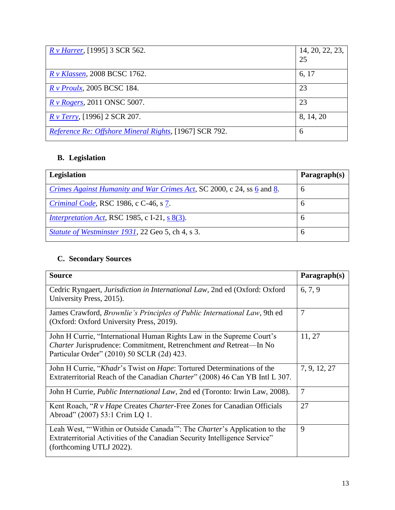| <i>R v Harrer</i> , [1995] 3 SCR 562.                  | 14, 20, 22, 23,<br>25 |
|--------------------------------------------------------|-----------------------|
| <i>R v Klassen</i> , 2008 BCSC 1762.                   | 6, 17                 |
| $R v$ Proulx, 2005 BCSC 184.                           | 23                    |
| $R \nu Rogers$ , 2011 ONSC 5007.                       | 23                    |
| $R \nu$ Terry, [1996] 2 SCR 207.                       | 8, 14, 20             |
| Reference Re: Offshore Mineral Rights, [1967] SCR 792. | 6                     |

# <span id="page-17-0"></span>**B. Legislation**

| <b>Legislation</b>                                                     | Paragnh(s)    |
|------------------------------------------------------------------------|---------------|
| Crimes Against Humanity and War Crimes Act, SC 2000, c 24, ss 6 and 8. | $\mathfrak b$ |
| <i>Criminal Code</i> , RSC 1986, c C-46, s 7.                          | $\mathfrak b$ |
| <i>Interpretation Act</i> , RSC 1985, c I-21, s $8(3)$ .               | $\mathfrak b$ |
| <i>Statute of Westminster 1931, 22 Geo 5, ch 4, s 3.</i>               | $\mathfrak b$ |

# <span id="page-17-1"></span>**C. Secondary Sources**

| <b>Source</b>                                                                                                                                                                            | Paragraph(s) |
|------------------------------------------------------------------------------------------------------------------------------------------------------------------------------------------|--------------|
| Cedric Ryngaert, Jurisdiction in International Law, 2nd ed (Oxford: Oxford<br>University Press, 2015).                                                                                   | 6, 7, 9      |
| James Crawford, <i>Brownlie's Principles of Public International Law</i> , 9th ed<br>(Oxford: Oxford University Press, 2019).                                                            | 7            |
| John H Currie, "International Human Rights Law in the Supreme Court's<br>Charter Jurisprudence: Commitment, Retrenchment and Retreat-In No<br>Particular Order" (2010) 50 SCLR (2d) 423. | 11, 27       |
| John H Currie, "Khadr's Twist on Hape: Tortured Determinations of the<br>Extraterritorial Reach of the Canadian Charter" (2008) 46 Can YB Intl L 307.                                    | 7, 9, 12, 27 |
| John H Currie, <i>Public International Law</i> , 2nd ed (Toronto: Irwin Law, 2008).                                                                                                      | 7            |
| Kent Roach, "R v Hape Creates Charter-Free Zones for Canadian Officials<br>Abroad" (2007) 53:1 Crim LQ 1.                                                                                | 27           |
| Leah West, "'Within or Outside Canada'": The Charter's Application to the<br>Extraterritorial Activities of the Canadian Security Intelligence Service"<br>(forthcoming UTLJ 2022).      | 9            |